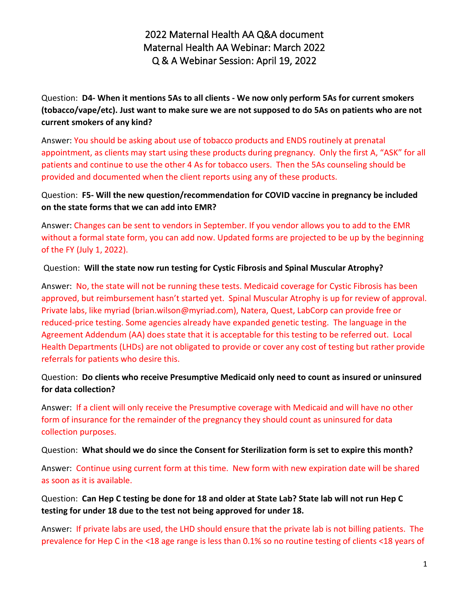2022 Maternal Health AA Q&A document Maternal Health AA Webinar: March 2022 Q & A Webinar Session: April 19, 2022

Question: **D4- When it mentions 5As to all clients - We now only perform 5As for current smokers (tobacco/vape/etc). Just want to make sure we are not supposed to do 5As on patients who are not current smokers of any kind?**

Answer: You should be asking about use of tobacco products and ENDS routinely at prenatal appointment, as clients may start using these products during pregnancy. Only the first A, "ASK" for all patients and continue to use the other 4 As for tobacco users. Then the 5As counseling should be provided and documented when the client reports using any of these products.

Question: **F5- Will the new question/recommendation for COVID vaccine in pregnancy be included on the state forms that we can add into EMR?**

Answer: Changes can be sent to vendors in September. If you vendor allows you to add to the EMR without a formal state form, you can add now. Updated forms are projected to be up by the beginning of the FY (July 1, 2022).

Question: **Will the state now run testing for Cystic Fibrosis and Spinal Muscular Atrophy?**

Answer: No, the state will not be running these tests. Medicaid coverage for Cystic Fibrosis has been approved, but reimbursement hasn't started yet. Spinal Muscular Atrophy is up for review of approval. Private labs, like myriad (brian.wilson@myriad.com), Natera, Quest, LabCorp can provide free or reduced-price testing. Some agencies already have expanded genetic testing. The language in the Agreement Addendum (AA) does state that it is acceptable for this testing to be referred out. Local Health Departments (LHDs) are not obligated to provide or cover any cost of testing but rather provide referrals for patients who desire this.

Question: **Do clients who receive Presumptive Medicaid only need to count as insured or uninsured for data collection?** 

Answer:If a client will only receive the Presumptive coverage with Medicaid and will have no other form of insurance for the remainder of the pregnancy they should count as uninsured for data collection purposes.

Question: **What should we do since the Consent for Sterilization form is set to expire this month?**

Answer: Continue using current form at this time. New form with new expiration date will be shared as soon as it is available.

Question: **Can Hep C testing be done for 18 and older at State Lab? State lab will not run Hep C testing for under 18 due to the test not being approved for under 18.** 

Answer: If private labs are used, the LHD should ensure that the private lab is not billing patients. The prevalence for Hep C in the <18 age range is less than 0.1% so no routine testing of clients <18 years of